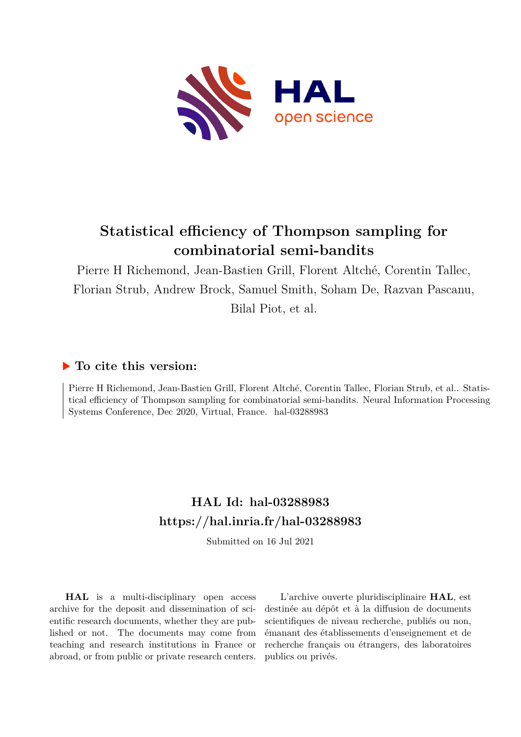

# **Statistical efficiency of Thompson sampling for combinatorial semi-bandits**

Pierre H Richemond, Jean-Bastien Grill, Florent Altché, Corentin Tallec, Florian Strub, Andrew Brock, Samuel Smith, Soham De, Razvan Pascanu, Bilal Piot, et al.

## **To cite this version:**

Pierre H Richemond, Jean-Bastien Grill, Florent Altché, Corentin Tallec, Florian Strub, et al.. Statistical efficiency of Thompson sampling for combinatorial semi-bandits. Neural Information Processing Systems Conference, Dec 2020, Virtual, France. hal-03288983

# **HAL Id: hal-03288983 <https://hal.inria.fr/hal-03288983>**

Submitted on 16 Jul 2021

**HAL** is a multi-disciplinary open access archive for the deposit and dissemination of scientific research documents, whether they are published or not. The documents may come from teaching and research institutions in France or abroad, or from public or private research centers.

L'archive ouverte pluridisciplinaire **HAL**, est destinée au dépôt et à la diffusion de documents scientifiques de niveau recherche, publiés ou non, émanant des établissements d'enseignement et de recherche français ou étrangers, des laboratoires publics ou privés.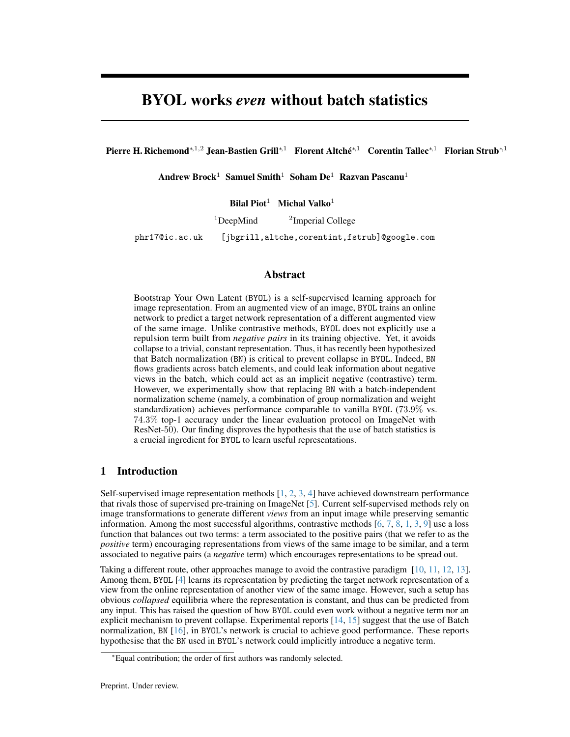# BYOL works *even* without batch statistics

Pierre H. Richemond<sup>∗,1,2</sup> Jean-Bastien Grill<sup>∗,1</sup> Florent Altché<sup>∗,1</sup> Corentin Tallec<sup>∗,1</sup> Florian Strub<sup>∗,1</sup>

Andrew Brock<sup>1</sup> Samuel Smith<sup>1</sup> Soham De<sup>1</sup> Razvan Pascanu<sup>1</sup>

Bilal Piot<sup>1</sup> Michal Valko<sup>1</sup>

 $1$ DeepMind <sup>2</sup>Imperial College

phr17@ic.ac.uk [jbgrill,altche,corentint,fstrub]@google.com

#### Abstract

Bootstrap Your Own Latent (BYOL) is a self-supervised learning approach for image representation. From an augmented view of an image, BYOL trains an online network to predict a target network representation of a different augmented view of the same image. Unlike contrastive methods, BYOL does not explicitly use a repulsion term built from *negative pairs* in its training objective. Yet, it avoids collapse to a trivial, constant representation. Thus, it has recently been hypothesized that Batch normalization (BN) is critical to prevent collapse in BYOL. Indeed, BN flows gradients across batch elements, and could leak information about negative views in the batch, which could act as an implicit negative (contrastive) term. However, we experimentally show that replacing BN with a batch-independent normalization scheme (namely, a combination of group normalization and weight standardization) achieves performance comparable to vanilla BYOL (73.9% vs. 74.3% top-1 accuracy under the linear evaluation protocol on ImageNet with ResNet-50). Our finding disproves the hypothesis that the use of batch statistics is a crucial ingredient for BYOL to learn useful representations.

## 1 Introduction

Self-supervised image representation methods  $[1, 2, 3, 4]$  have achieved downstream performance that rivals those of supervised pre-training on ImageNet [5]. Current self-supervised methods rely on image transformations to generate different *views* from an input image while preserving semantic information. Among the most successful algorithms, contrastive methods  $[6, 7, 8, 1, 3, 9]$  use a loss function that balances out two terms: a term associated to the positive pairs (that we refer to as the *positive* term) encouraging representations from views of the same image to be similar, and a term associated to negative pairs (a *negative* term) which encourages representations to be spread out.

Taking a different route, other approaches manage to avoid the contrastive paradigm [10, 11, 12, 13]. Among them, BYOL [4] learns its representation by predicting the target network representation of a view from the online representation of another view of the same image. However, such a setup has obvious *collapsed* equilibria where the representation is constant, and thus can be predicted from any input. This has raised the question of how BYOL could even work without a negative term nor an explicit mechanism to prevent collapse. Experimental reports [14, 15] suggest that the use of Batch normalization, BN [16], in BYOL's network is crucial to achieve good performance. These reports hypothesise that the BN used in BYOL's network could implicitly introduce a negative term.

<sup>∗</sup>Equal contribution; the order of first authors was randomly selected.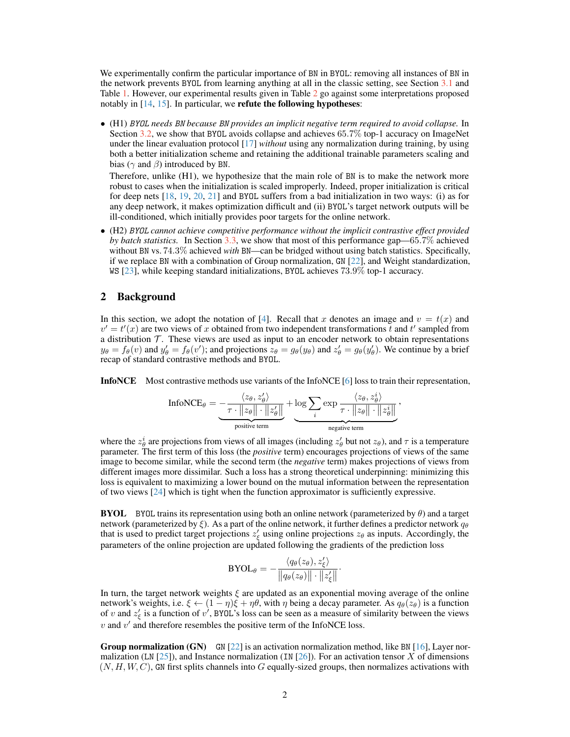We experimentally confirm the particular importance of BN in BYOL: removing all instances of BN in the network prevents BYOL from learning anything at all in the classic setting, see Section 3.1 and Table 1. However, our experimental results given in Table 2 go against some interpretations proposed notably in  $[14, 15]$ . In particular, we **refute the following hypotheses**:

• (H1) *BYOL needs BN because BN provides an implicit negative term required to avoid collapse.* In Section 3.2, we show that BYOL avoids collapse and achieves 65.7% top-1 accuracy on ImageNet under the linear evaluation protocol [17] *without* using any normalization during training, by using both a better initialization scheme and retaining the additional trainable parameters scaling and bias ( $\gamma$  and  $\beta$ ) introduced by BN.

Therefore, unlike (H1), we hypothesize that the main role of BN is to make the network more robust to cases when the initialization is scaled improperly. Indeed, proper initialization is critical for deep nets [18, 19, 20, 21] and BYOL suffers from a bad initialization in two ways: (i) as for any deep network, it makes optimization difficult and (ii) BYOL's target network outputs will be ill-conditioned, which initially provides poor targets for the online network.

• (H2) *BYOL cannot achieve competitive performance without the implicit contrastive effect provided by batch statistics.* In Section 3.3, we show that most of this performance gap—65.7% achieved without BN vs. 74.3% achieved *with* BN—can be bridged without using batch statistics. Specifically, if we replace BN with a combination of Group normalization, GN [22], and Weight standardization, WS [23], while keeping standard initializations, BYOL achieves 73.9% top-1 accuracy.

#### 2 Background

In this section, we adopt the notation of [4]. Recall that x denotes an image and  $v = t(x)$  and  $v' = t'(x)$  are two views of x obtained from two independent transformations t and t' sampled from a distribution  $T$ . These views are used as input to an encoder network to obtain representations  $y_{\theta} = f_{\theta}(v)$  and  $y'_{\theta} = f_{\theta}(v')$ ; and projections  $z_{\theta} = g_{\theta}(y_{\theta})$  and  $z'_{\theta} = g_{\theta}(y'_{\theta})$ . We continue by a brief recap of standard contrastive methods and BYOL.

InfoNCE Most contrastive methods use variants of the InfoNCE [6] loss to train their representation,

$$
\text{InfoNCE}_{\theta} = \underbrace{-\frac{\langle z_{\theta}, z_{\theta}' \rangle}{\tau \cdot ||z_{\theta}|| \cdot ||z_{\theta}'||}}_{\text{positive term}} + \underbrace{\log \sum_{i} \exp \frac{\langle z_{\theta}, z_{\theta}^{i} \rangle}{\tau \cdot ||z_{\theta}|| \cdot ||z_{\theta}'||}}_{\text{negative term}},
$$

where the  $z_{\theta}^i$  are projections from views of all images (including  $z_{\theta}'$  but not  $z_{\theta}$ ), and  $\tau$  is a temperature parameter. The first term of this loss (the *positive* term) encourages projections of views of the same image to become similar, while the second term (the *negative* term) makes projections of views from different images more dissimilar. Such a loss has a strong theoretical underpinning: minimizing this loss is equivalent to maximizing a lower bound on the mutual information between the representation of two views [24] which is tight when the function approximator is sufficiently expressive.

**BYOL** BYOL trains its representation using both an online network (parameterized by  $\theta$ ) and a target network (parameterized by  $\xi$ ). As a part of the online network, it further defines a predictor network  $q_{\theta}$ that is used to predict target projections  $z'_\xi$  using online projections  $z_\theta$  as inputs. Accordingly, the parameters of the online projection are updated following the gradients of the prediction loss

$$
\text{BYOL}_{\theta} = -\frac{\langle q_{\theta}(z_{\theta}), z_{\xi}' \rangle}{\left\| q_{\theta}(z_{\theta}) \right\| \cdot \left\| z_{\xi}' \right\|}
$$

·

In turn, the target network weights  $\xi$  are updated as an exponential moving average of the online network's weights, i.e.  $\xi \leftarrow (1 - \eta)\xi + \eta\theta$ , with  $\eta$  being a decay parameter. As  $q_\theta(z_\theta)$  is a function of v and  $z_{\xi}$  is a function of v', BYOL's loss can be seen as a measure of similarity between the views  $v$  and  $v'$  and therefore resembles the positive term of the InfoNCE loss.

**Group normalization (GN)** GN  $[22]$  is an activation normalization method, like BN  $[16]$ , Layer normalization (LN  $[25]$ ), and Instance normalization (IN  $[26]$ ). For an activation tensor X of dimensions  $(N, H, W, C)$ , GN first splits channels into G equally-sized groups, then normalizes activations with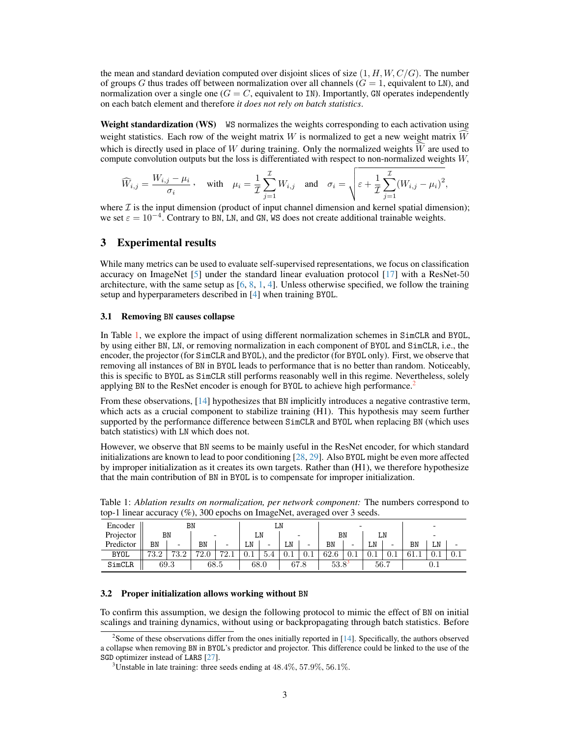the mean and standard deviation computed over disjoint slices of size  $(1, H, W, C/G)$ . The number of groups G thus trades off between normalization over all channels  $(G = 1)$ , equivalent to LN), and normalization over a single one  $(G = C,$  equivalent to IN). Importantly, GN operates independently on each batch element and therefore *it does not rely on batch statistics*.

Weight standardization (WS) WS normalizes the weights corresponding to each activation using weight statistics. Each row of the weight matrix W is normalized to get a new weight matrix  $\hat{W}$ which is directly used in place of W during training. Only the normalized weights  $\hat{W}$  are used to compute convolution outputs but the loss is differentiated with respect to non-normalized weights W,

$$
\widehat{W}_{i,j} = \frac{W_{i,j} - \mu_i}{\sigma_i}, \quad \text{with} \quad \mu_i = \frac{1}{\mathcal{I}} \sum_{j=1}^{\mathcal{I}} W_{i,j} \quad \text{and} \quad \sigma_i = \sqrt{\varepsilon + \frac{1}{\mathcal{I}} \sum_{j=1}^{\mathcal{I}} (W_{i,j} - \mu_i)^2},
$$

where  $\mathcal I$  is the input dimension (product of input channel dimension and kernel spatial dimension); we set  $\varepsilon = 10^{-4}$ . Contrary to BN, LN, and GN, WS does not create additional trainable weights.

### 3 Experimental results

While many metrics can be used to evaluate self-supervised representations, we focus on classification accuracy on ImageNet [5] under the standard linear evaluation protocol [17] with a ResNet-50 architecture, with the same setup as  $[6, 8, 1, 4]$ . Unless otherwise specified, we follow the training setup and hyperparameters described in [4] when training BYOL.

#### 3.1 Removing **BN** causes collapse

In Table 1, we explore the impact of using different normalization schemes in SimCLR and BYOL, by using either BN, LN, or removing normalization in each component of BYOL and SimCLR, i.e., the encoder, the projector (for SimCLR and BYOL), and the predictor (for BYOL only). First, we observe that removing all instances of BN in BYOL leads to performance that is no better than random. Noticeably, this is specific to BYOL as SimCLR still performs reasonably well in this regime. Nevertheless, solely applying BN to the ResNet encoder is enough for BYOL to achieve high performance.<sup>2</sup>

From these observations, [14] hypothesizes that BN implicitly introduces a negative contrastive term, which acts as a crucial component to stabilize training (H1). This hypothesis may seem further supported by the performance difference between SimCLR and BYOL when replacing BN (which uses batch statistics) with LN which does not.

However, we observe that BN seems to be mainly useful in the ResNet encoder, for which standard initializations are known to lead to poor conditioning [28, 29]. Also BYOL might be even more affected by improper initialization as it creates its own targets. Rather than (H1), we therefore hypothesize that the main contribution of BN in BYOL is to compensate for improper initialization.

| Encoder     | BN   |      |                       |                        | ⊥⊥   |                          |      |                          |            |     |      |      |      |    |           |
|-------------|------|------|-----------------------|------------------------|------|--------------------------|------|--------------------------|------------|-----|------|------|------|----|-----------|
| Projector   |      | BN   |                       |                        |      | ĹN                       |      | -                        | ΒN         |     |      | LN   |      |    |           |
| Predictor   | BN   | -    | BN                    | -                      | LN   | $\overline{\phantom{0}}$ | LN   | $\overline{\phantom{0}}$ | BN         | -   | LN   | -    | ΒN   | LN |           |
| <b>BYOL</b> | 73.2 | 73.2 | 70<br>$\mathcal{L}$ . | 70.1<br>$\mathbf{2.1}$ | 0.1  | 5.4                      | 0.1  | 0.1                      | 62.6       | U.1 | 0.1  | v. 1 | 61.1 | U. | $\rm 0.1$ |
| SimCLR      | 69.3 |      | 68.5                  |                        | 68.0 |                          | 67.8 |                          | $53.8^{3}$ |     | 56.7 |      | U.I  |    |           |

Table 1: *Ablation results on normalization, per network component:* The numbers correspond to top-1 linear accuracy (%), 300 epochs on ImageNet, averaged over 3 seeds.

#### 3.2 Proper initialization allows working without **BN**

To confirm this assumption, we design the following protocol to mimic the effect of BN on initial scalings and training dynamics, without using or backpropagating through batch statistics. Before

<sup>&</sup>lt;sup>2</sup>Some of these observations differ from the ones initially reported in [14]. Specifically, the authors observed a collapse when removing BN in BYOL's predictor and projector. This difference could be linked to the use of the SGD optimizer instead of LARS [27].

 $3$ Unstable in late training: three seeds ending at  $48.4\%, 57.9\%, 56.1\%$ .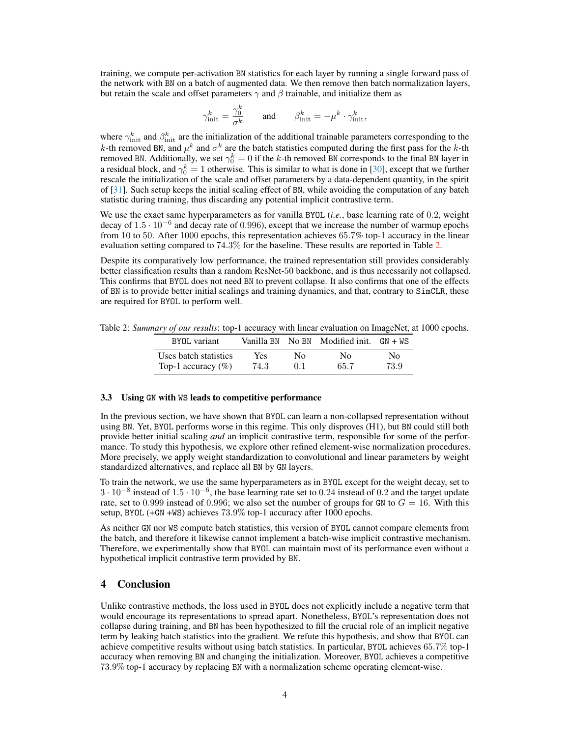training, we compute per-activation BN statistics for each layer by running a single forward pass of the network with BN on a batch of augmented data. We then remove then batch normalization layers, but retain the scale and offset parameters  $\gamma$  and  $\beta$  trainable, and initialize them as

$$
\gamma^k_{\text{init}} = \frac{\gamma^k_0}{\sigma^k} \qquad \text{and} \qquad \beta^k_{\text{init}} = -\mu^k \cdot \gamma^k_{\text{init}},
$$

where  $\gamma_{\rm init}^k$  and  $\beta_{\rm init}^k$  are the initialization of the additional trainable parameters corresponding to the k-th removed BN, and  $\mu^k$  and  $\sigma^k$  are the batch statistics computed during the first pass for the k-th removed BN. Additionally, we set  $\gamma_0^k = 0$  if the k-th removed BN corresponds to the final BN layer in a residual block, and  $\gamma_0^k = 1$  otherwise. This is similar to what is done in [30], except that we further rescale the initialization of the scale and offset parameters by a data-dependent quantity, in the spirit of [31]. Such setup keeps the initial scaling effect of BN, while avoiding the computation of any batch statistic during training, thus discarding any potential implicit contrastive term.

We use the exact same hyperparameters as for vanilla BYOL (*i.e.*, base learning rate of 0.2, weight decay of 1.5 · 10<sup>-6</sup> and decay rate of 0.996), except that we increase the number of warmup epochs from 10 to 50. After 1000 epochs, this representation achieves 65.7% top-1 accuracy in the linear evaluation setting compared to 74.3% for the baseline. These results are reported in Table 2.

Despite its comparatively low performance, the trained representation still provides considerably better classification results than a random ResNet-50 backbone, and is thus necessarily not collapsed. This confirms that BYOL does not need BN to prevent collapse. It also confirms that one of the effects of BN is to provide better initial scalings and training dynamics, and that, contrary to SimCLR, these are required for BYOL to perform well.

Table 2: *Summary of our results*: top-1 accuracy with linear evaluation on ImageNet, at 1000 epochs.

| BYOL variant          |      |     | Vanilla BN $\,$ No BN $\,$ Modified init. $\,$ GN + WS |      |
|-----------------------|------|-----|--------------------------------------------------------|------|
| Uses batch statistics | Yes  | No. | $N_{\Omega}$                                           | No.  |
| Top-1 accuracy $(\%)$ | 74.3 | 0.1 | 65.7                                                   | 73.9 |

#### 3.3 Using **GN** with **WS** leads to competitive performance

In the previous section, we have shown that BYOL can learn a non-collapsed representation without using BN. Yet, BYOL performs worse in this regime. This only disproves (H1), but BN could still both provide better initial scaling *and* an implicit contrastive term, responsible for some of the performance. To study this hypothesis, we explore other refined element-wise normalization procedures. More precisely, we apply weight standardization to convolutional and linear parameters by weight standardized alternatives, and replace all BN by GN layers.

To train the network, we use the same hyperparameters as in BYOL except for the weight decay, set to 3 · 10<sup>−</sup><sup>8</sup> instead of 1.5 · 10<sup>−</sup><sup>6</sup> , the base learning rate set to 0.24 instead of 0.2 and the target update rate, set to 0.999 instead of 0.996; we also set the number of groups for GN to  $G = 16$ . With this setup, BYOL (+GN +WS) achieves 73.9% top-1 accuracy after 1000 epochs.

As neither GN nor WS compute batch statistics, this version of BYOL cannot compare elements from the batch, and therefore it likewise cannot implement a batch-wise implicit contrastive mechanism. Therefore, we experimentally show that BYOL can maintain most of its performance even without a hypothetical implicit contrastive term provided by BN.

### 4 Conclusion

Unlike contrastive methods, the loss used in BYOL does not explicitly include a negative term that would encourage its representations to spread apart. Nonetheless, BYOL's representation does not collapse during training, and BN has been hypothesized to fill the crucial role of an implicit negative term by leaking batch statistics into the gradient. We refute this hypothesis, and show that BYOL can achieve competitive results without using batch statistics. In particular, BYOL achieves 65.7% top-1 accuracy when removing BN and changing the initialization. Moreover, BYOL achieves a competitive 73.9% top-1 accuracy by replacing BN with a normalization scheme operating element-wise.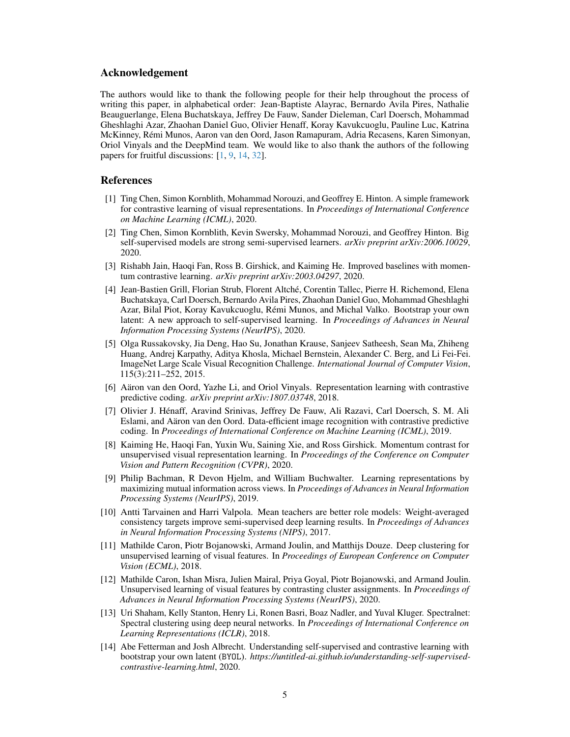#### Acknowledgement

The authors would like to thank the following people for their help throughout the process of writing this paper, in alphabetical order: Jean-Baptiste Alayrac, Bernardo Avila Pires, Nathalie Beauguerlange, Elena Buchatskaya, Jeffrey De Fauw, Sander Dieleman, Carl Doersch, Mohammad Gheshlaghi Azar, Zhaohan Daniel Guo, Olivier Henaff, Koray Kavukcuoglu, Pauline Luc, Katrina McKinney, Rémi Munos, Aaron van den Oord, Jason Ramapuram, Adria Recasens, Karen Simonyan, Oriol Vinyals and the DeepMind team. We would like to also thank the authors of the following papers for fruitful discussions: [1, 9, 14, 32].

### References

- [1] Ting Chen, Simon Kornblith, Mohammad Norouzi, and Geoffrey E. Hinton. A simple framework for contrastive learning of visual representations. In *Proceedings of International Conference on Machine Learning (ICML)*, 2020.
- [2] Ting Chen, Simon Kornblith, Kevin Swersky, Mohammad Norouzi, and Geoffrey Hinton. Big self-supervised models are strong semi-supervised learners. *arXiv preprint arXiv:2006.10029*, 2020.
- [3] Rishabh Jain, Haoqi Fan, Ross B. Girshick, and Kaiming He. Improved baselines with momentum contrastive learning. *arXiv preprint arXiv:2003.04297*, 2020.
- [4] Jean-Bastien Grill, Florian Strub, Florent Altché, Corentin Tallec, Pierre H. Richemond, Elena Buchatskaya, Carl Doersch, Bernardo Avila Pires, Zhaohan Daniel Guo, Mohammad Gheshlaghi Azar, Bilal Piot, Koray Kavukcuoglu, Rémi Munos, and Michal Valko. Bootstrap your own latent: A new approach to self-supervised learning. In *Proceedings of Advances in Neural Information Processing Systems (NeurIPS)*, 2020.
- [5] Olga Russakovsky, Jia Deng, Hao Su, Jonathan Krause, Sanjeev Satheesh, Sean Ma, Zhiheng Huang, Andrej Karpathy, Aditya Khosla, Michael Bernstein, Alexander C. Berg, and Li Fei-Fei. ImageNet Large Scale Visual Recognition Challenge. *International Journal of Computer Vision*, 115(3):211–252, 2015.
- [6] Aäron van den Oord, Yazhe Li, and Oriol Vinyals. Representation learning with contrastive predictive coding. *arXiv preprint arXiv:1807.03748*, 2018.
- [7] Olivier J. Hénaff, Aravind Srinivas, Jeffrey De Fauw, Ali Razavi, Carl Doersch, S. M. Ali Eslami, and Aäron van den Oord. Data-efficient image recognition with contrastive predictive coding. In *Proceedings of International Conference on Machine Learning (ICML)*, 2019.
- [8] Kaiming He, Haoqi Fan, Yuxin Wu, Saining Xie, and Ross Girshick. Momentum contrast for unsupervised visual representation learning. In *Proceedings of the Conference on Computer Vision and Pattern Recognition (CVPR)*, 2020.
- [9] Philip Bachman, R Devon Hjelm, and William Buchwalter. Learning representations by maximizing mutual information across views. In *Proceedings of Advances in Neural Information Processing Systems (NeurIPS)*, 2019.
- [10] Antti Tarvainen and Harri Valpola. Mean teachers are better role models: Weight-averaged consistency targets improve semi-supervised deep learning results. In *Proceedings of Advances in Neural Information Processing Systems (NIPS)*, 2017.
- [11] Mathilde Caron, Piotr Bojanowski, Armand Joulin, and Matthijs Douze. Deep clustering for unsupervised learning of visual features. In *Proceedings of European Conference on Computer Vision (ECML)*, 2018.
- [12] Mathilde Caron, Ishan Misra, Julien Mairal, Priya Goyal, Piotr Bojanowski, and Armand Joulin. Unsupervised learning of visual features by contrasting cluster assignments. In *Proceedings of Advances in Neural Information Processing Systems (NeurIPS)*, 2020.
- [13] Uri Shaham, Kelly Stanton, Henry Li, Ronen Basri, Boaz Nadler, and Yuval Kluger. Spectralnet: Spectral clustering using deep neural networks. In *Proceedings of International Conference on Learning Representations (ICLR)*, 2018.
- [14] Abe Fetterman and Josh Albrecht. Understanding self-supervised and contrastive learning with bootstrap your own latent (BYOL). *https://untitled-ai.github.io/understanding-self-supervisedcontrastive-learning.html*, 2020.